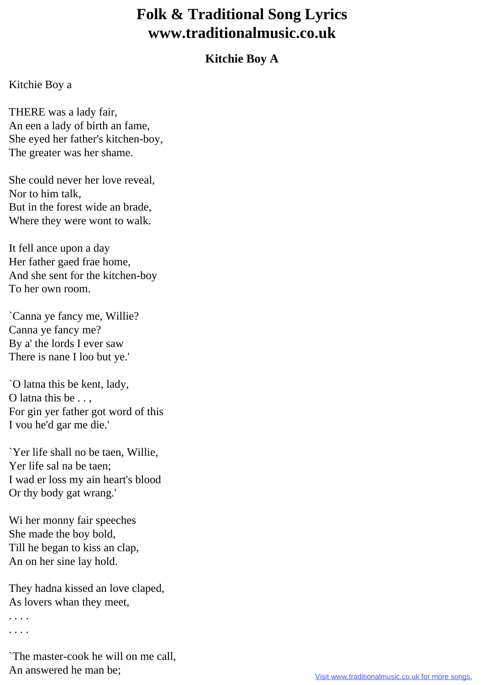## **Folk & Traditional Song Lyrics www.traditionalmusic.co.uk**

## **Kitchie Boy A**

## Kitchie Boy a

THERE was a lady fair, An een a lady of birth an fame, She eyed her father's kitchen-boy, The greater was her shame.

She could never her love reveal, Nor to him talk, But in the forest wide an brade, Where they were wont to walk.

It fell ance upon a day Her father gaed frae home, And she sent for the kitchen-boy To her own room.

`Canna ye fancy me, Willie? Canna ye fancy me? By a' the lords I ever saw There is nane I loo but ye.'

`O latna this be kent, lady, O latna this be . . , For gin yer father got word of this I vou he'd gar me die.'

`Yer life shall no be taen, Willie, Yer life sal na be taen; I wad er loss my ain heart's blood Or thy body gat wrang.'

Wi her monny fair speeches She made the boy bold, Till he began to kiss an clap, An on her sine lay hold.

They hadna kissed an love claped, As lovers whan they meet,

. . . .

. . . .

`The master-cook he will on me call, An answered he man be;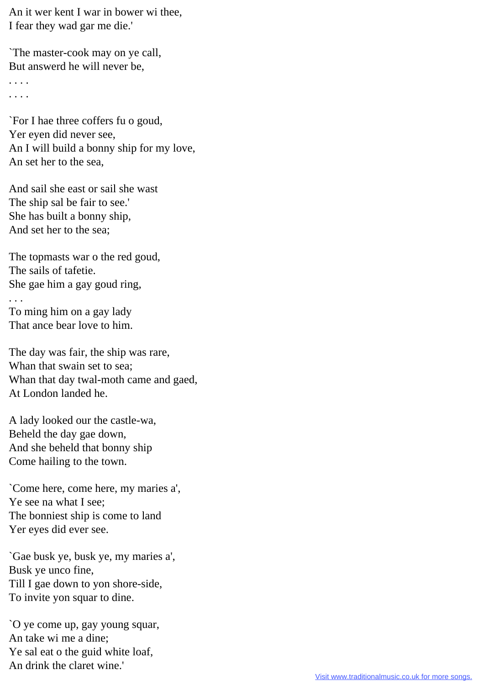An it wer kent I war in bower wi thee, I fear they wad gar me die.'

`The master-cook may on ye call, But answerd he will never be,

. . . . . . . .

`For I hae three coffers fu o goud, Yer eyen did never see, An I will build a bonny ship for my love, An set her to the sea,

And sail she east or sail she wast The ship sal be fair to see.' She has built a bonny ship, And set her to the sea;

The topmasts war o the red goud, The sails of tafetie. She gae him a gay goud ring, . . . To ming him on a gay lady That ance bear love to him.

The day was fair, the ship was rare, Whan that swain set to sea; Whan that day twal-moth came and gaed, At London landed he.

A lady looked our the castle-wa, Beheld the day gae down, And she beheld that bonny ship Come hailing to the town.

`Come here, come here, my maries a', Ye see na what I see; The bonniest ship is come to land Yer eyes did ever see.

`Gae busk ye, busk ye, my maries a', Busk ye unco fine, Till I gae down to yon shore-side, To invite yon squar to dine.

`O ye come up, gay young squar, An take wi me a dine; Ye sal eat o the guid white loaf, An drink the claret wine.'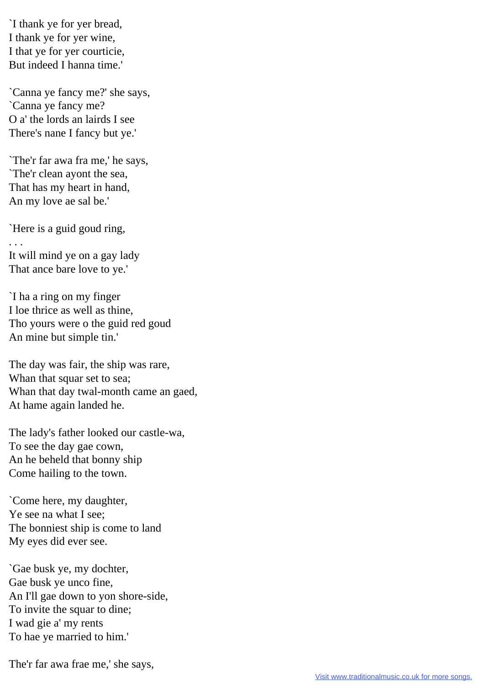`I thank ye for yer bread, I thank ye for yer wine, I that ye for yer courticie, But indeed I hanna time.'

`Canna ye fancy me?' she says, `Canna ye fancy me? O a' the lords an lairds I see There's nane I fancy but ye.'

`The'r far awa fra me,' he says, `The'r clean ayont the sea, That has my heart in hand, An my love ae sal be.'

`Here is a guid goud ring, . . . It will mind ye on a gay lady That ance bare love to ye.'

`I ha a ring on my finger I loe thrice as well as thine, Tho yours were o the guid red goud An mine but simple tin.'

The day was fair, the ship was rare, Whan that squar set to sea; Whan that day twal-month came an gaed, At hame again landed he.

The lady's father looked our castle-wa, To see the day gae cown, An he beheld that bonny ship Come hailing to the town.

`Come here, my daughter, Ye see na what I see; The bonniest ship is come to land My eyes did ever see.

`Gae busk ye, my dochter, Gae busk ye unco fine, An I'll gae down to yon shore-side, To invite the squar to dine; I wad gie a' my rents To hae ye married to him.'

The'r far awa frae me,' she says,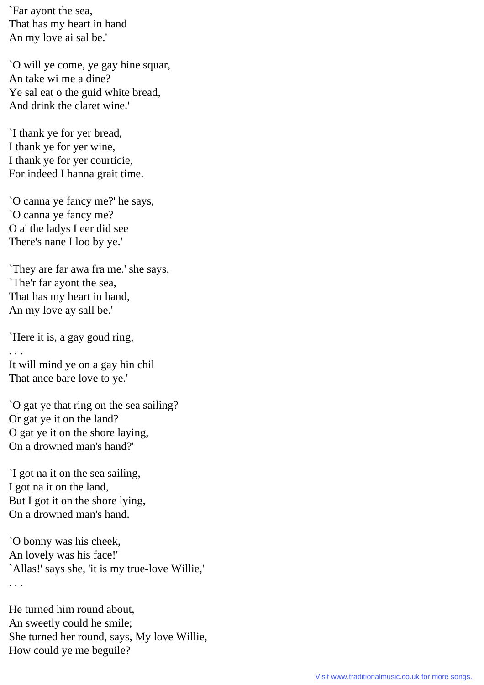`Far ayont the sea, That has my heart in hand An my love ai sal be.'

`O will ye come, ye gay hine squar, An take wi me a dine? Ye sal eat o the guid white bread, And drink the claret wine.'

`I thank ye for yer bread, I thank ye for yer wine, I thank ye for yer courticie, For indeed I hanna grait time.

`O canna ye fancy me?' he says, `O canna ye fancy me? O a' the ladys I eer did see There's nane I loo by ye.'

`They are far awa fra me.' she says, `The'r far ayont the sea, That has my heart in hand, An my love ay sall be.'

`Here it is, a gay goud ring,

 $\mathbf{r}$ .

It will mind ye on a gay hin chil That ance bare love to ye.'

`O gat ye that ring on the sea sailing? Or gat ye it on the land? O gat ye it on the shore laying, On a drowned man's hand?'

`I got na it on the sea sailing, I got na it on the land, But I got it on the shore lying, On a drowned man's hand.

`O bonny was his cheek, An lovely was his face!' `Allas!' says she, 'it is my true-love Willie,' . . .

He turned him round about, An sweetly could he smile; She turned her round, says, My love Willie, How could ye me beguile?